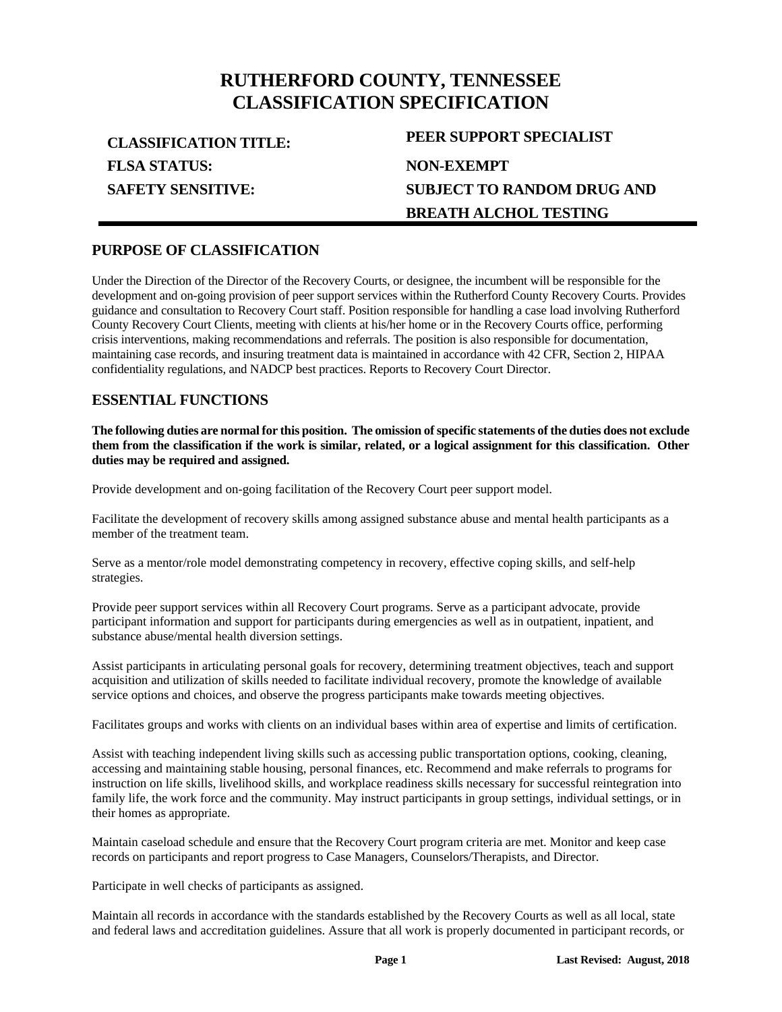# **RUTHERFORD COUNTY, TENNESSEE CLASSIFICATION SPECIFICATION**

**FLSA STATUS: SAFETY SENSITIVE:**

# **CLASSIFICATION TITLE: PEER SUPPORT SPECIALIST NON-EXEMPT SUBJECT TO RANDOM DRUG AND BREATH ALCHOL TESTING**

# **PURPOSE OF CLASSIFICATION**

Under the Direction of the Director of the Recovery Courts, or designee, the incumbent will be responsible for the development and on-going provision of peer support services within the Rutherford County Recovery Courts. Provides guidance and consultation to Recovery Court staff. Position responsible for handling a case load involving Rutherford County Recovery Court Clients, meeting with clients at his/her home or in the Recovery Courts office, performing crisis interventions, making recommendations and referrals. The position is also responsible for documentation, maintaining case records, and insuring treatment data is maintained in accordance with 42 CFR, Section 2, HIPAA confidentiality regulations, and NADCP best practices. Reports to Recovery Court Director.

# **ESSENTIAL FUNCTIONS**

**The following duties are normal for this position. The omission of specific statements of the duties does not exclude them from the classification if the work is similar, related, or a logical assignment for this classification. Other duties may be required and assigned.**

Provide development and on-going facilitation of the Recovery Court peer support model.

Facilitate the development of recovery skills among assigned substance abuse and mental health participants as a member of the treatment team.

Serve as a mentor/role model demonstrating competency in recovery, effective coping skills, and self-help strategies.

Provide peer support services within all Recovery Court programs. Serve as a participant advocate, provide participant information and support for participants during emergencies as well as in outpatient, inpatient, and substance abuse/mental health diversion settings.

Assist participants in articulating personal goals for recovery, determining treatment objectives, teach and support acquisition and utilization of skills needed to facilitate individual recovery, promote the knowledge of available service options and choices, and observe the progress participants make towards meeting objectives.

Facilitates groups and works with clients on an individual bases within area of expertise and limits of certification.

Assist with teaching independent living skills such as accessing public transportation options, cooking, cleaning, accessing and maintaining stable housing, personal finances, etc. Recommend and make referrals to programs for instruction on life skills, livelihood skills, and workplace readiness skills necessary for successful reintegration into family life, the work force and the community. May instruct participants in group settings, individual settings, or in their homes as appropriate.

Maintain caseload schedule and ensure that the Recovery Court program criteria are met. Monitor and keep case records on participants and report progress to Case Managers, Counselors/Therapists, and Director.

Participate in well checks of participants as assigned.

Maintain all records in accordance with the standards established by the Recovery Courts as well as all local, state and federal laws and accreditation guidelines. Assure that all work is properly documented in participant records, or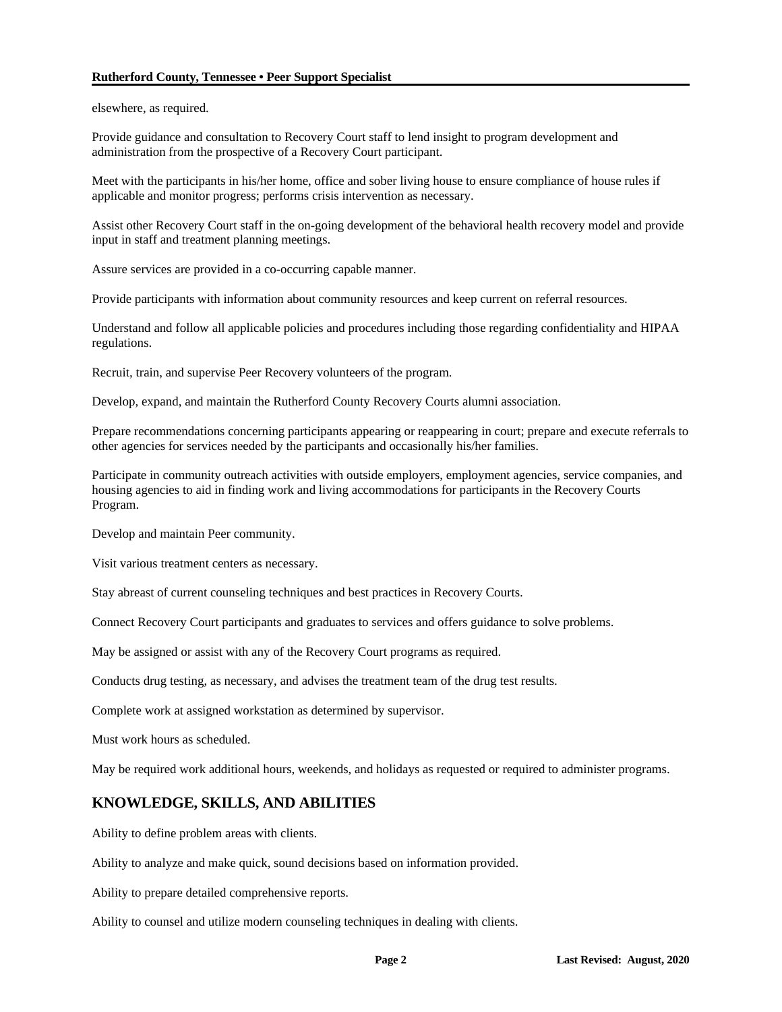#### **Rutherford County, Tennessee • Peer Support Specialist**

elsewhere, as required.

Provide guidance and consultation to Recovery Court staff to lend insight to program development and administration from the prospective of a Recovery Court participant.

Meet with the participants in his/her home, office and sober living house to ensure compliance of house rules if applicable and monitor progress; performs crisis intervention as necessary.

Assist other Recovery Court staff in the on-going development of the behavioral health recovery model and provide input in staff and treatment planning meetings.

Assure services are provided in a co-occurring capable manner.

Provide participants with information about community resources and keep current on referral resources.

Understand and follow all applicable policies and procedures including those regarding confidentiality and HIPAA regulations.

Recruit, train, and supervise Peer Recovery volunteers of the program.

Develop, expand, and maintain the Rutherford County Recovery Courts alumni association.

Prepare recommendations concerning participants appearing or reappearing in court; prepare and execute referrals to other agencies for services needed by the participants and occasionally his/her families.

Participate in community outreach activities with outside employers, employment agencies, service companies, and housing agencies to aid in finding work and living accommodations for participants in the Recovery Courts Program.

Develop and maintain Peer community.

Visit various treatment centers as necessary.

Stay abreast of current counseling techniques and best practices in Recovery Courts.

Connect Recovery Court participants and graduates to services and offers guidance to solve problems.

May be assigned or assist with any of the Recovery Court programs as required.

Conducts drug testing, as necessary, and advises the treatment team of the drug test results.

Complete work at assigned workstation as determined by supervisor.

Must work hours as scheduled.

May be required work additional hours, weekends, and holidays as requested or required to administer programs.

## **KNOWLEDGE, SKILLS, AND ABILITIES**

Ability to define problem areas with clients.

Ability to analyze and make quick, sound decisions based on information provided.

Ability to prepare detailed comprehensive reports.

Ability to counsel and utilize modern counseling techniques in dealing with clients.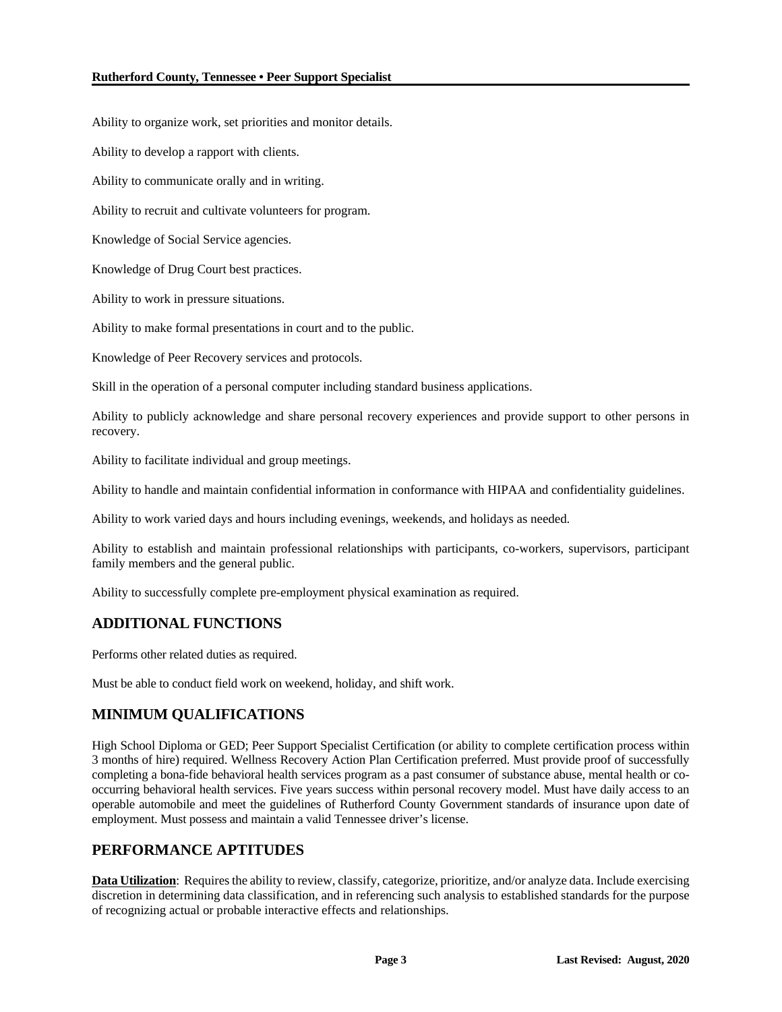Ability to organize work, set priorities and monitor details.

Ability to develop a rapport with clients.

Ability to communicate orally and in writing.

Ability to recruit and cultivate volunteers for program.

Knowledge of Social Service agencies.

Knowledge of Drug Court best practices.

Ability to work in pressure situations.

Ability to make formal presentations in court and to the public.

Knowledge of Peer Recovery services and protocols.

Skill in the operation of a personal computer including standard business applications.

Ability to publicly acknowledge and share personal recovery experiences and provide support to other persons in recovery.

Ability to facilitate individual and group meetings.

Ability to handle and maintain confidential information in conformance with HIPAA and confidentiality guidelines.

Ability to work varied days and hours including evenings, weekends, and holidays as needed.

Ability to establish and maintain professional relationships with participants, co-workers, supervisors, participant family members and the general public.

Ability to successfully complete pre-employment physical examination as required.

# **ADDITIONAL FUNCTIONS**

Performs other related duties as required.

Must be able to conduct field work on weekend, holiday, and shift work.

# **MINIMUM QUALIFICATIONS**

High School Diploma or GED; Peer Support Specialist Certification (or ability to complete certification process within 3 months of hire) required. Wellness Recovery Action Plan Certification preferred. Must provide proof of successfully completing a bona-fide behavioral health services program as a past consumer of substance abuse, mental health or cooccurring behavioral health services. Five years success within personal recovery model. Must have daily access to an operable automobile and meet the guidelines of Rutherford County Government standards of insurance upon date of employment. Must possess and maintain a valid Tennessee driver's license.

## **PERFORMANCE APTITUDES**

**Data Utilization**: Requires the ability to review, classify, categorize, prioritize, and/or analyze data. Include exercising discretion in determining data classification, and in referencing such analysis to established standards for the purpose of recognizing actual or probable interactive effects and relationships.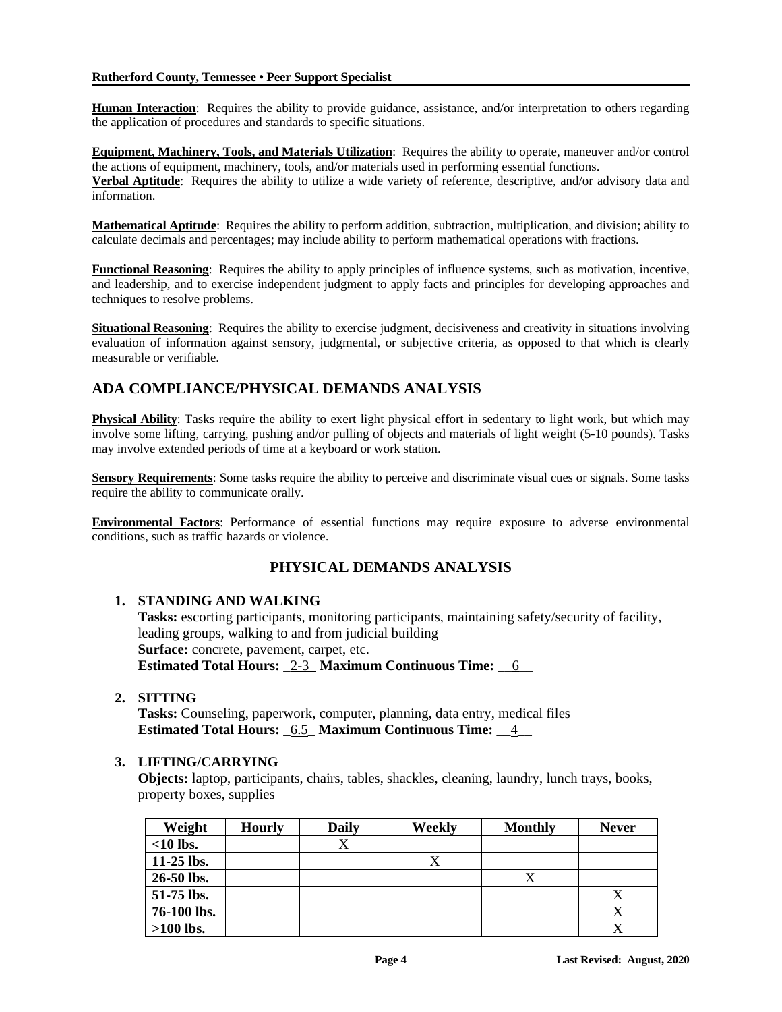#### **Rutherford County, Tennessee • Peer Support Specialist**

**Human Interaction**: Requires the ability to provide guidance, assistance, and/or interpretation to others regarding the application of procedures and standards to specific situations.

**Equipment, Machinery, Tools, and Materials Utilization**: Requires the ability to operate, maneuver and/or control the actions of equipment, machinery, tools, and/or materials used in performing essential functions. **Verbal Aptitude**: Requires the ability to utilize a wide variety of reference, descriptive, and/or advisory data and information.

**Mathematical Aptitude**: Requires the ability to perform addition, subtraction, multiplication, and division; ability to calculate decimals and percentages; may include ability to perform mathematical operations with fractions.

**Functional Reasoning**: Requires the ability to apply principles of influence systems, such as motivation, incentive, and leadership, and to exercise independent judgment to apply facts and principles for developing approaches and techniques to resolve problems.

**Situational Reasoning**: Requires the ability to exercise judgment, decisiveness and creativity in situations involving evaluation of information against sensory, judgmental, or subjective criteria, as opposed to that which is clearly measurable or verifiable.

# **ADA COMPLIANCE/PHYSICAL DEMANDS ANALYSIS**

**Physical Ability**: Tasks require the ability to exert light physical effort in sedentary to light work, but which may involve some lifting, carrying, pushing and/or pulling of objects and materials of light weight (5-10 pounds). Tasks may involve extended periods of time at a keyboard or work station.

**Sensory Requirements**: Some tasks require the ability to perceive and discriminate visual cues or signals. Some tasks require the ability to communicate orally.

**Environmental Factors**: Performance of essential functions may require exposure to adverse environmental conditions, such as traffic hazards or violence.

# **PHYSICAL DEMANDS ANALYSIS**

## **1. STANDING AND WALKING**

**Tasks:** escorting participants, monitoring participants, maintaining safety/security of facility, leading groups, walking to and from judicial building **Surface:** concrete, pavement, carpet, etc. **Estimated Total Hours: \_**2-3 **Maximum Continuous Time: \_\_**6**\_\_**

**2. SITTING**

**Tasks:** Counseling, paperwork, computer, planning, data entry, medical files **Estimated Total Hours: \_**6.5**\_ Maximum Continuous Time: \_\_**4**\_\_**

# **3. LIFTING/CARRYING**

**Objects:** laptop, participants, chairs, tables, shackles, cleaning, laundry, lunch trays, books, property boxes, supplies

| Weight       | <b>Hourly</b> | <b>Daily</b> | Weekly | <b>Monthly</b>     | <b>Never</b> |
|--------------|---------------|--------------|--------|--------------------|--------------|
| $<$ 10 lbs.  |               |              |        |                    |              |
| $11-25$ lbs. |               |              |        |                    |              |
| $26-50$ lbs. |               |              |        | $\curvearrowright$ |              |
| 51-75 lbs.   |               |              |        |                    | X            |
| 76-100 lbs.  |               |              |        |                    |              |
| $>100$ lbs.  |               |              |        |                    |              |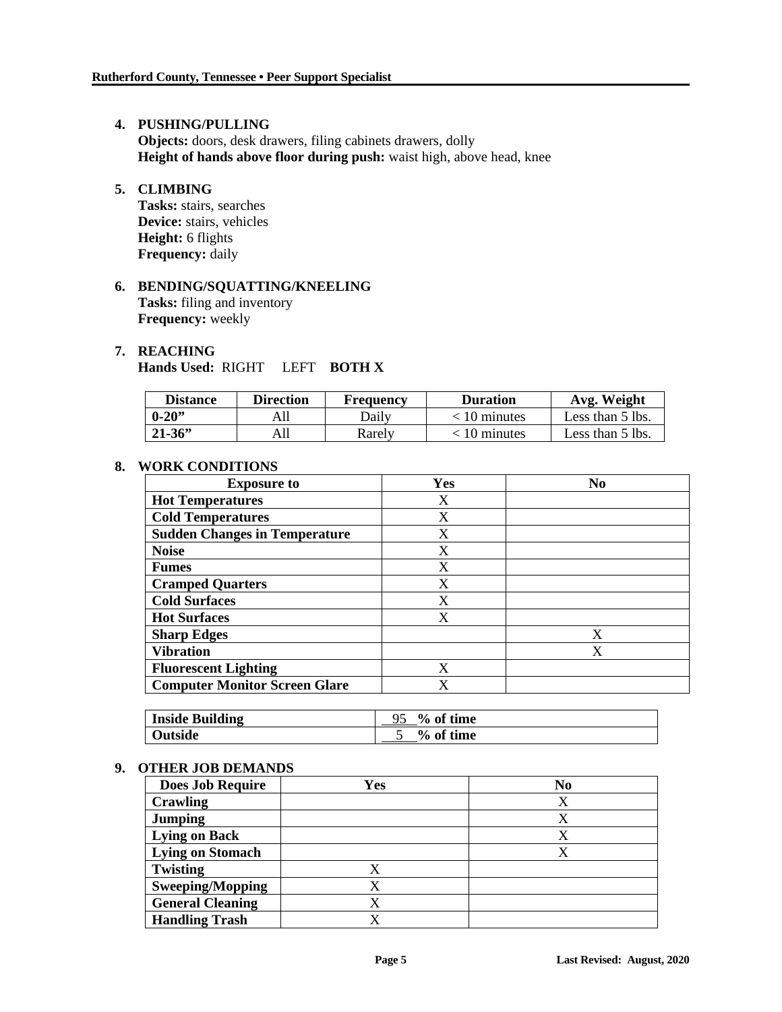## **4. PUSHING/PULLING**

**Objects:** doors, desk drawers, filing cabinets drawers, dolly **Height of hands above floor during push:** waist high, above head, knee

# **5. CLIMBING**

**Tasks:** stairs, searches **Device:** stairs, vehicles **Height:** 6 flights **Frequency:** daily

# **6. BENDING/SQUATTING/KNEELING Tasks:** filing and inventory **Frequency:** weekly

#### **7. REACHING**

**Hands Used:** RIGHT LEFT **BOTH X**

| <b>Distance</b> | <b>Direction</b> | Frequency | <b>Duration</b> | Avg. Weight      |
|-----------------|------------------|-----------|-----------------|------------------|
| $0 - 20$        |                  | Dailv     | $< 10$ minutes  | Less than 5 lbs. |
| $21 - 36$       |                  | Rarelv    | 10 minutes      | Less than 5 lbs. |

# **8. WORK CONDITIONS**

| <b>Exposure to</b>                   | Yes | N <sub>0</sub> |
|--------------------------------------|-----|----------------|
| <b>Hot Temperatures</b>              | X   |                |
| <b>Cold Temperatures</b>             | X   |                |
| <b>Sudden Changes in Temperature</b> | X   |                |
| <b>Noise</b>                         | X   |                |
| <b>Fumes</b>                         | X   |                |
| <b>Cramped Quarters</b>              | X   |                |
| <b>Cold Surfaces</b>                 | X   |                |
| <b>Hot Surfaces</b>                  | X   |                |
| <b>Sharp Edges</b>                   |     | X              |
| <b>Vibration</b>                     |     | X              |
| <b>Fluorescent Lighting</b>          | X   |                |
| <b>Computer Monitor Screen Glare</b> | X   |                |

| <b>Inside Building</b> | $\%$ of time |
|------------------------|--------------|
| Outside                | % of time    |

## **9. OTHER JOB DEMANDS**

| <b>Does Job Require</b> | Yes | N <sub>0</sub> |
|-------------------------|-----|----------------|
| <b>Crawling</b>         |     | Х              |
| <b>Jumping</b>          |     | X              |
| <b>Lying on Back</b>    |     | X              |
| <b>Lying on Stomach</b> |     |                |
| <b>Twisting</b>         |     |                |
| <b>Sweeping/Mopping</b> |     |                |
| <b>General Cleaning</b> |     |                |
| <b>Handling Trash</b>   |     |                |